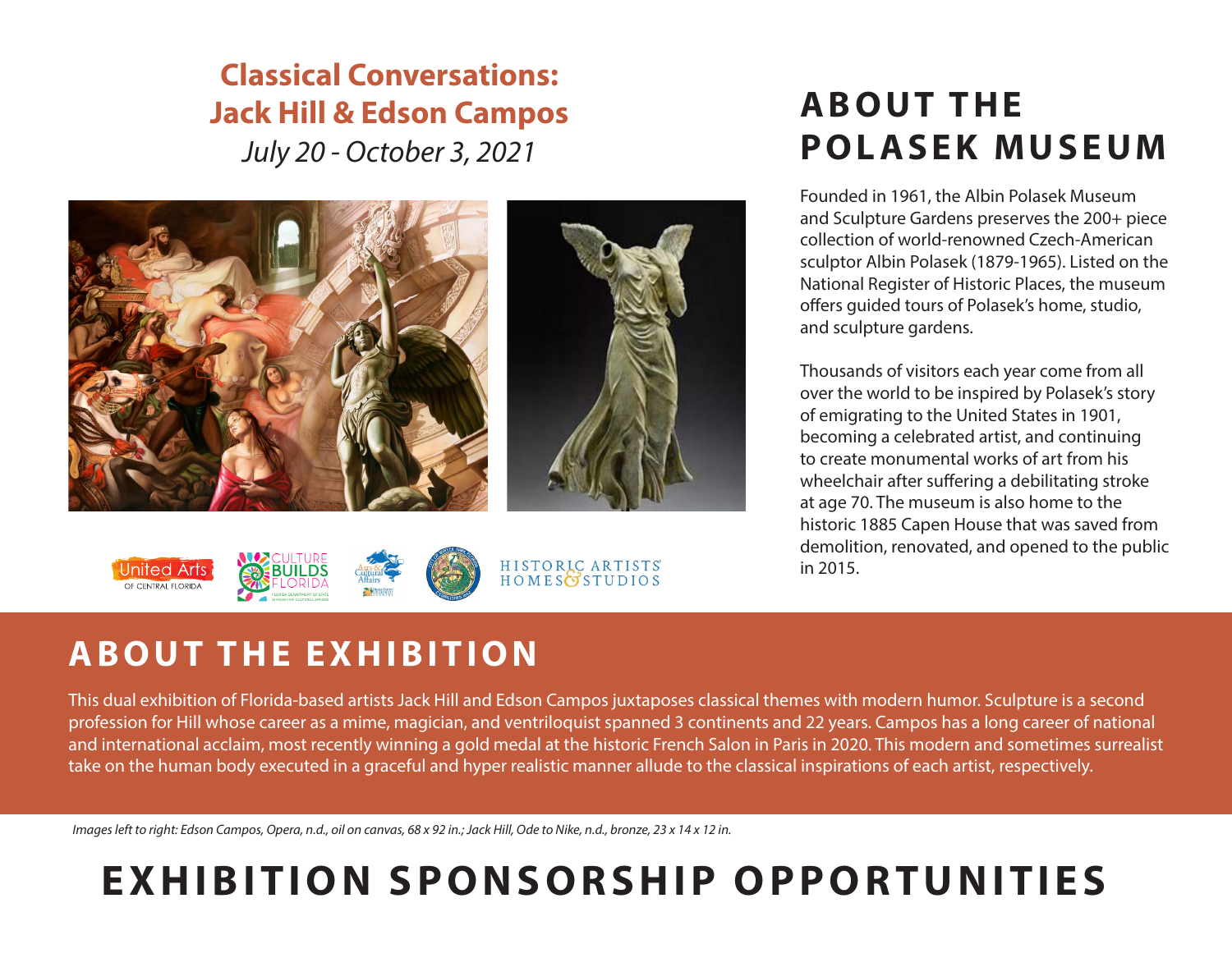## *July 20 - October 3, 2021* **Classical Conversations: Jack Hill & Edson Campos**



## HISTORIC ARTISTS<br>HOMESOSTUDIOS OF CENTRAL FLORID

# **A B O U T T H E POLASEK MUSEUM**

Founded in 1961, the Albin Polasek Museum and Sculpture Gardens preserves the 200+ piece collection of world-renowned Czech-American sculptor Albin Polasek (1879-1965). Listed on the National Register of Historic Places, the museum offers guided tours of Polasek's home, studio, and sculpture gardens.

Thousands of visitors each year come from all over the world to be inspired by Polasek's story of emigrating to the United States in 1901, becoming a celebrated artist, and continuing to create monumental works of art from his wheelchair after suffering a debilitating stroke at age 70. The museum is also home to the historic 1885 Capen House that was saved from demolition, renovated, and opened to the public in 2015.

# **ABOUT THE EXHIBITION**

This dual exhibition of Florida-based artists Jack Hill and Edson Campos juxtaposes classical themes with modern humor. Sculpture is a second profession for Hill whose career as a mime, magician, and ventriloquist spanned 3 continents and 22 years. Campos has a long career of national and international acclaim, most recently winning a gold medal at the historic French Salon in Paris in 2020. This modern and sometimes surrealist take on the human body executed in a graceful and hyper realistic manner allude to the classical inspirations of each artist, respectively.

*Images left to right: Edson Campos, Opera, n.d., oil on canvas, 68 x 92 in.; Jack Hill, Ode to Nike, n.d., bronze, 23 x 14 x 12 in.*

# **EXHIBITION SPONSORSHIP OPPORTUNITIES**